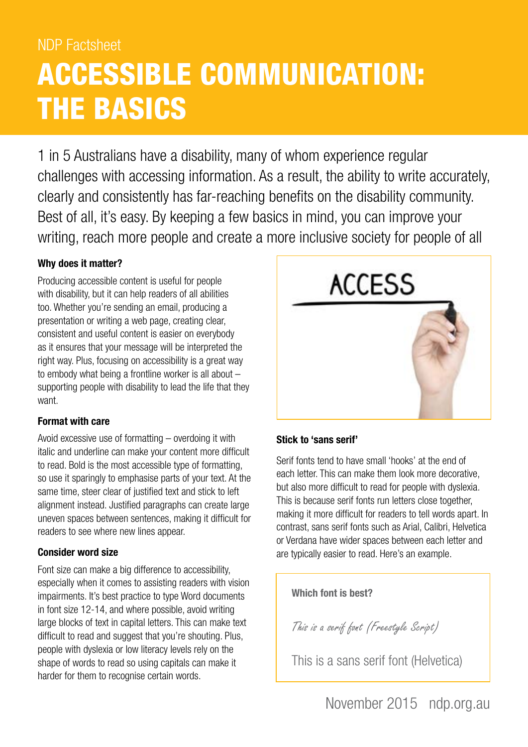# NDP Factsheet ACCESSIBLE COMMUNICATION: THE BASICS

1 in 5 Australians have a disability, many of whom experience regular challenges with accessing information. As a result, the ability to write accurately, clearly and consistently has far-reaching benefits on the disability community. Best of all, it's easy. By keeping a few basics in mind, you can improve your writing, reach more people and create a more inclusive society for people of all

## **Why does it matter?**

Producing accessible content is useful for people with disability, but it can help readers of all abilities too. Whether you're sending an email, producing a presentation or writing a web page, creating clear, consistent and useful content is easier on everybody as it ensures that your message will be interpreted the right way. Plus, focusing on accessibility is a great way to embody what being a frontline worker is all about – supporting people with disability to lead the life that they want.

## **Format with care**

Avoid excessive use of formatting – overdoing it with italic and underline can make your content more difficult to read. Bold is the most accessible type of formatting, so use it sparingly to emphasise parts of your text. At the same time, steer clear of justified text and stick to left alignment instead. Justified paragraphs can create large uneven spaces between sentences, making it difficult for readers to see where new lines appear.

## **Consider word size**

Font size can make a big difference to accessibility, especially when it comes to assisting readers with vision impairments. It's best practice to type Word documents in font size 12-14, and where possible, avoid writing large blocks of text in capital letters. This can make text difficult to read and suggest that you're shouting. Plus, people with dyslexia or low literacy levels rely on the shape of words to read so using capitals can make it harder for them to recognise certain words.



## **Stick to 'sans serif'**

Serif fonts tend to have small 'hooks' at the end of each letter. This can make them look more decorative, but also more difficult to read for people with dyslexia. This is because serif fonts run letters close together, making it more difficult for readers to tell words apart. In contrast, sans serif fonts such as Arial, Calibri, Helvetica or Verdana have wider spaces between each letter and are typically easier to read. Here's an example.

**Which font is best?**

This is a serif font (Freestyle Script)

This is a sans serif font (Helvetica)

November 2015 [ndp.org.au](http://www.ndp.org.au)